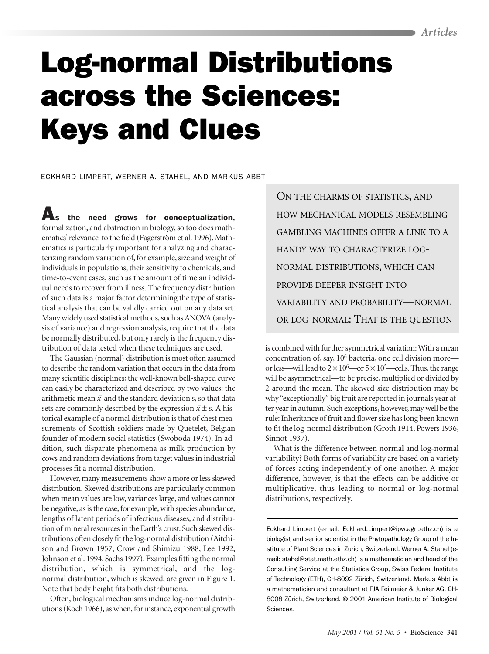# Log-normal Distributions across the Sciences: Keys and Clues

ECKHARD LIMPERT, WERNER A. STAHEL, AND MARKUS ABBT

 $\mathbf{A}_s$  the need grows for conceptualization, formalization, and abstraction in biology, so too does mathematics' relevance to the field (Fagerström et al. 1996). Mathematics is particularly important for analyzing and characterizing random variation of, for example, size and weight of individuals in populations, their sensitivity to chemicals, and time-to-event cases, such as the amount of time an individual needs to recover from illness. The frequency distribution of such data is a major factor determining the type of statistical analysis that can be validly carried out on any data set. Manywidely used statistical methods, such as ANOVA (analysis of variance) and regression analysis, require that the data be normally distributed, but only rarely is the frequency distribution of data tested when these techniques are used.

The Gaussian (normal) distribution is most often assumed to describe the random variation that occurs in the data from many scientific disciplines; the well-known bell-shaped curve can easily be characterized and described by two values: the arithmetic mean  $\bar{x}$  and the standard deviation s, so that data sets are commonly described by the expression  $\bar{x} \pm s$ . A historical example of a normal distribution is that of chest measurements of Scottish soldiers made by Quetelet, Belgian founder of modern social statistics (Swoboda 1974). In addition, such disparate phenomena as milk production by cows and random deviations from target values in industrial processes fit a normal distribution.

However, many measurements show a more or less skewed distribution. Skewed distributions are particularly common when mean values are low, variances large, and values cannot be negative, as is the case, for example, with species abundance, lengths of latent periods of infectious diseases, and distribution of mineral resources in the Earth's crust. Such skewed distributions often closely fit the log-normal distribution (Aitchison and Brown 1957, Crow and Shimizu 1988, Lee 1992, Johnson et al. 1994, Sachs 1997). Examples fitting the normal distribution, which is symmetrical, and the lognormal distribution, which is skewed, are given in Figure 1. Note that body height fits both distributions.

Often, biological mechanisms induce log-normal distributions (Koch 1966), as when, for instance, exponential growth ON THE CHARMS OF STATISTICS, AND HOW MECHANICAL MODELS RESEMBLING GAMBLING MACHINES OFFER A LINK TO A HANDY WAY TO CHARACTERIZE LOG-NORMAL DISTRIBUTIONS, WHICH CAN PROVIDE DEEPER INSIGHT INTO VARIABILITY AND PROBABILITY—NORMAL OR LOG-NORMAL: THAT IS THE QUESTION

is combined with further symmetrical variation: With a mean concentration of, say, 10<sup>6</sup> bacteria, one cell division moreor less—will lead to  $2 \times 10^6$ —or  $5 \times 10^5$ —cells. Thus, the range will be asymmetrical—to be precise, multiplied or divided by 2 around the mean. The skewed size distribution may be why "exceptionally" big fruit are reported in journals year after year in autumn. Such exceptions, however, may well be the rule: Inheritance of fruit and flower size has long been known to fit the log-normal distribution (Groth 1914, Powers 1936, Sinnot 1937).

What is the difference between normal and log-normal variability? Both forms of variability are based on a variety of forces acting independently of one another. A major difference, however, is that the effects can be additive or multiplicative, thus leading to normal or log-normal distributions, respectively.

Eckhard Limpert (e-mail: Eckhard.Limpert@ipw.agrl.ethz.ch) is a biologist and senior scientist in the Phytopathology Group of the Institute of Plant Sciences in Zurich, Switzerland. Werner A. Stahel (email: stahel@stat.math.ethz.ch) is a mathematician and head of the Consulting Service at the Statistics Group, Swiss Federal Institute of Technology (ETH), CH-8092 Zürich, Switzerland. Markus Abbt is a mathematician and consultant at FJA Feilmeier & Junker AG, CH-8008 Zürich, Switzerland. © 2001 American Institute of Biological Sciences.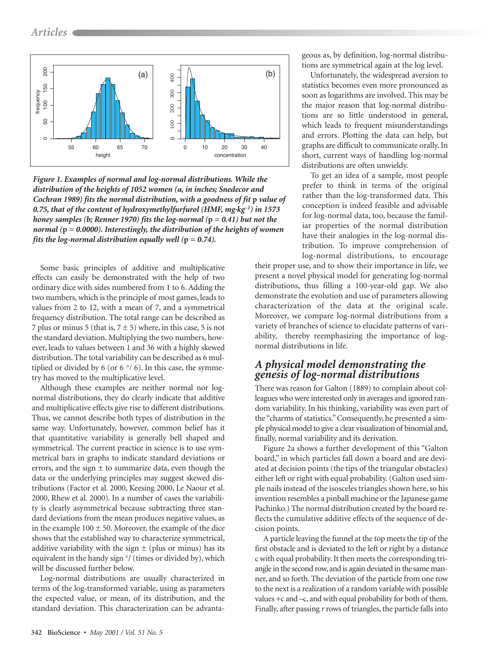

*Figure 1. Examples of normal and log-normal distributions. While the distribution of the heights of 1052 women (a, in inches; Snedecor and Cochran 1989) fits the normal distribution, with a goodness of fit p value of 0.75, that of the content of hydroxymethylfurfurol (HMF, mg·kg–1) in 1573 honey samples (b; Renner 1970) fits the log-normal (***p** *= 0.41) but not the normal (***p** *= 0.0000). Interestingly, the distribution of the heights of women fits the log-normal distribution equally well (* $p = 0.74$ *).* 

Some basic principles of additive and multiplicative effects can easily be demonstrated with the help of two ordinary dice with sides numbered from 1 to 6. Adding the two numbers, which is the principle of most games, leads to values from 2 to 12, with a mean of 7, and a symmetrical frequency distribution. The total range can be described as 7 plus or minus 5 (that is,  $7 \pm 5$ ) where, in this case, 5 is not the standard deviation. Multiplying the two numbers, however, leads to values between 1 and 36 with a highly skewed distribution. The total variability can be described as 6 multiplied or divided by 6 (or  $6 \times 6$ ). In this case, the symmetry has moved to the multiplicative level.

Although these examples are neither normal nor lognormal distributions, they do clearly indicate that additive and multiplicative effects give rise to different distributions. Thus, we cannot describe both types of distribution in the same way. Unfortunately, however, common belief has it that quantitative variability is generally bell shaped and symmetrical. The current practice in science is to use symmetrical bars in graphs to indicate standard deviations or errors, and the sign  $\pm$  to summarize data, even though the data or the underlying principles may suggest skewed distributions (Factor et al. 2000, Keesing 2000, Le Naour et al. 2000, Rhew et al. 2000). In a number of cases the variability is clearly asymmetrical because subtracting three standard deviations from the mean produces negative values, as in the example  $100 \pm 50$ . Moreover, the example of the dice shows that the established way to characterize symmetrical, additive variability with the sign  $\pm$  (plus or minus) has its equivalent in the handy sign  $\frac{\gamma}{t}$  (times or divided by), which will be discussed further below.

Log-normal distributions are usually characterized in terms of the log-transformed variable, using as parameters the expected value, or mean, of its distribution, and the standard deviation. This characterization can be advantageous as, by definition, log-normal distributions are symmetrical again at the log level.

Unfortunately, the widespread aversion to statistics becomes even more pronounced as soon as logarithms are involved. This may be the major reason that log-normal distributions are so little understood in general, which leads to frequent misunderstandings and errors. Plotting the data can help, but graphs are difficult to communicate orally. In short, current ways of handling log-normal distributions are often unwieldy.

To get an idea of a sample, most people prefer to think in terms of the original rather than the log-transformed data. This conception is indeed feasible and advisable for log-normal data, too, because the familiar properties of the normal distribution have their analogies in the log-normal distribution. To improve comprehension of log-normal distributions, to encourage

their proper use, and to show their importance in life, we present a novel physical model for generating log-normal distributions, thus filling a 100-year-old gap. We also demonstrate the evolution and use of parameters allowing characterization of the data at the original scale. Moreover, we compare log-normal distributions from a variety of branches of science to elucidate patterns of variability, thereby reemphasizing the importance of lognormal distributions in life.

## *A physical model demonstrating the genesis of log-normal distributions*

There was reason for Galton (1889) to complain about colleagues who were interested only in averages and ignored random variability. In his thinking, variability was even part of the "charms of statistics." Consequently, he presented a simple physical model to give a clear visualization of binomial and, finally, normal variability and its derivation.

Figure 2a shows a further development of this "Galton board," in which particles fall down a board and are deviated at decision points (the tips of the triangular obstacles) either left or right with equal probability. (Galton used simple nails instead of the isosceles triangles shown here, so his invention resembles a pinball machine or the Japanese game Pachinko.) The normal distribution created by the board reflects the cumulative additive effects of the sequence of decision points.

A particle leaving the funnel at the top meets the tip of the first obstacle and is deviated to the left or right by a distance c with equal probability. It then meets the corresponding triangle in the second row, and is again deviated in the same manner, and so forth. The deviation of the particle from one row to the next is a realization of a random variable with possible values +c and –c, and with equal probability for both of them. Finally, after passing *r* rows of triangles, the particle falls into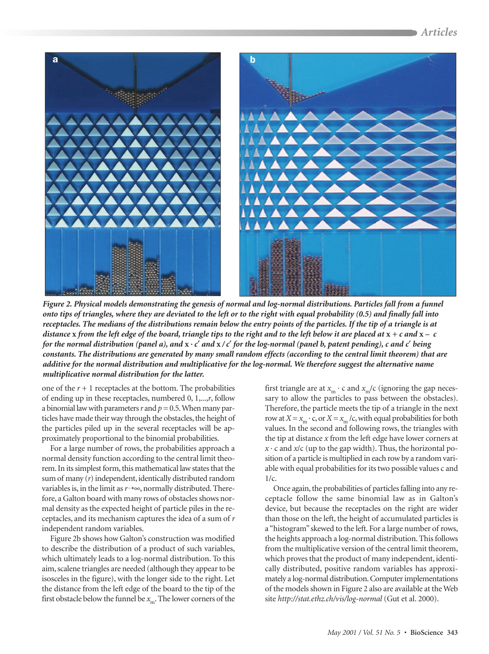

*Figure 2. Physical models demonstrating the genesis of normal and log-normal distributions. Particles fall from a funnel onto tips of triangles, where they are deviated to the left or to the right with equal probability (0.5) and finally fall into receptacles. The medians of the distributions remain below the entry points of the particles. If the tip of a triangle is at distance* **x** *from the left edge of the board, triangle tips to the right and to the left below it are placed at* **x** *+ c and* **x** *– c for the normal distribution (panel a), and* **x** *· c*′ *and* **x** */ c*′ *for the log-normal (panel b, patent pending), c and c*′ *being constants. The distributions are generated by many small random effects (according to the central limit theorem) that are additive for the normal distribution and multiplicative for the log-normal. We therefore suggest the alternative name multiplicative normal distribution for the latter.*

one of the  $r + 1$  receptacles at the bottom. The probabilities of ending up in these receptacles, numbered 0, 1,...,*r*, follow a binomial law with parameters  $r$  and  $p = 0.5$ . When many particles have made their way through the obstacles, the height of the particles piled up in the several receptacles will be approximately proportional to the binomial probabilities.

For a large number of rows, the probabilities approach a normal density function according to the central limit theorem. In its simplest form, this mathematical law states that the sum of many (*r*) independent, identically distributed random variables is, in the limit as *r*→∞, normally distributed. Therefore, a Galton board with many rows of obstacles shows normal density as the expected height of particle piles in the receptacles, and its mechanism captures the idea of a sum of *r* independent random variables.

Figure 2b shows how Galton's construction was modified to describe the distribution of a product of such variables, which ultimately leads to a log-normal distribution. To this aim, scalene triangles are needed (although they appear to be isosceles in the figure), with the longer side to the right. Let the distance from the left edge of the board to the tip of the first obstacle below the funnel be  $x<sub>m</sub>$ . The lower corners of the

first triangle are at  $x_m \cdot c$  and  $x_m/c$  (ignoring the gap necessary to allow the particles to pass between the obstacles). Therefore, the particle meets the tip of a triangle in the next row at  $X = x_m \cdot c$ , or  $X = x_m / c$ , with equal probabilities for both values. In the second and following rows, the triangles with the tip at distance *x* from the left edge have lower corners at  $x \cdot c$  and  $x/c$  (up to the gap width). Thus, the horizontal position of a particle is multiplied in each row by a random variable with equal probabilities for its two possible values c and  $1/c$ .

Once again, the probabilities of particles falling into any receptacle follow the same binomial law as in Galton's device, but because the receptacles on the right are wider than those on the left, the height of accumulated particles is a "histogram" skewed to the left. For a large number of rows, the heights approach a log-normal distribution. This follows from the multiplicative version of the central limit theorem, which proves that the product of many independent, identically distributed, positive random variables has approximately a log-normal distribution. Computer implementations of the models shown in Figure 2 also are available at the Web site *http://stat.ethz.ch/vis/log-normal* (Gut et al. 2000).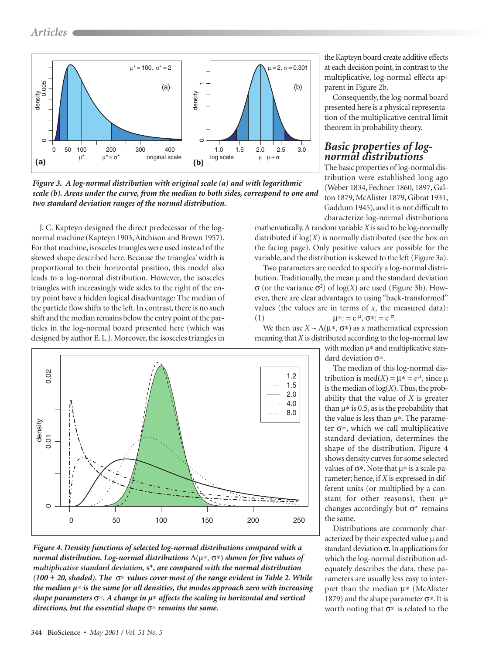

*Figure 3. A log-normal distribution with original scale (a) and with logarithmic scale (b). Areas under the curve, from the median to both sides, correspond to one and*

J. C. Kapteyn designed the direct predecessor of the lognormal machine (Kapteyn 1903, Aitchison and Brown 1957). For that machine, isosceles triangles were used instead of the skewed shape described here. Because the triangles' width is proportional to their horizontal position, this model also leads to a log-normal distribution. However, the isosceles triangles with increasingly wide sides to the right of the entry point have a hidden logical disadvantage: The median of the particle flow shifts to the left. In contrast, there is no such shift and the median remains below the entry point of the particles in the log-normal board presented here (which was designed by author E. L.). Moreover, the isosceles triangles in



*Figure 4. Density functions of selected log-normal distributions compared with a normal distribution. Log-normal distributions* Λ(**µ**∗, σ∗) *shown for five values of multiplicative standard deviation,* **s\****, are compared with the normal distribution (100 ± 20, shaded). The* σ∗ *values cover most of the range evident in Table 2. While the median µ*∗ *is the same for all densities, the modes approach zero with increasing shape parameters* σ∗*. A change in µ*∗ *affects the scaling in horizontal and vertical*

the Kapteyn board create additive effects at each decision point, in contrast to the multiplicative, log-normal effects apparent in Figure 2b.

Consequently, the log-normal board presented here is a physical representation of the multiplicative central limit theorem in probability theory.

## *Basic properties of lognormal distributions*

The basic properties of log-normal distribution were established long ago (Weber 1834, Fechner 1860, 1897, Galton 1879, McAlister 1879, Gibrat 1931, Gaddum 1945), and it is not difficult to characterize log-normal distributions

mathematically.A random variable *X*is said to be log-normally distributed if log(*X*) is normally distributed (see the box on the facing page). Only positive values are possible for the variable, and the distribution is skewed to the left (Figure 3a).

Two parameters are needed to specify a log-normal distribution. Traditionally, the mean  $\mu$  and the standard deviation  $\sigma$  (or the variance  $\sigma^2$ ) of log(*X*) are used (Figure 3b). However, there are clear advantages to using "back-transformed" values (the values are in terms of *x*, the measured data): (1)  $\mu^* := e^{\mu}, \sigma^* := e^{\sigma}.$ 

We then use  $X \sim \Lambda(\mu^*, \sigma^*)$  as a mathematical expression meaning that *X* is distributed according to the log-normal law

with median µ\* and multiplicative standard deviation σ∗.

The median of this log-normal distribution is med(*X*) =  $\mu$ <sup>\*</sup> =  $e^{\mu}$ , since  $\mu$ is the median of  $log(X)$ . Thus, the probability that the value of *X* is greater than  $\mu$ <sup>\*</sup> is 0.5, as is the probability that the value is less than  $\mu$ ∗. The parameter σ∗, which we call multiplicative standard deviation, determines the shape of the distribution. Figure 4 shows density curves for some selected values of  $\sigma^*$ . Note that  $\mu^*$  is a scale parameter; hence, if *X* is expressed in different units (or multiplied by a constant for other reasons), then µ∗ changes accordingly but  $\sigma^*$  remains the same.

Distributions are commonly characterized by their expected value  $\mu$  and standard deviation  $\sigma$ . In applications for which the log-normal distribution adequately describes the data, these parameters are usually less easy to interpret than the median µ∗ (McAlister 1879) and the shape parameter  $\sigma^*$ . It is worth noting that  $\sigma^*$  is related to the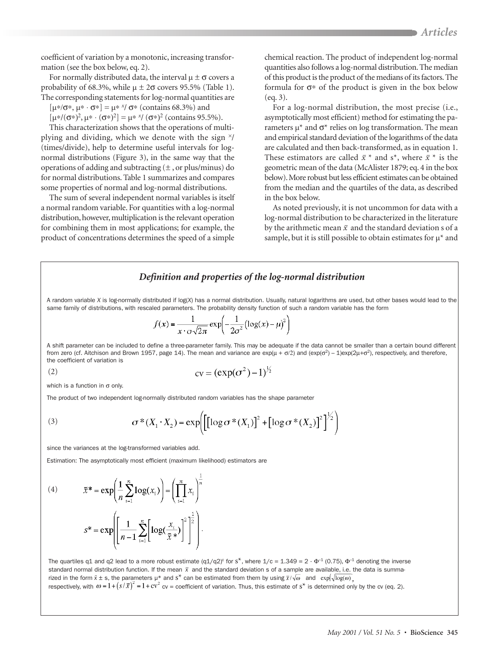coefficient of variation by a monotonic, increasing transformation (see the box below, eq. 2).

For normally distributed data, the interval  $\mu \pm \sigma$  covers a probability of 68.3%, while  $\mu \pm 2\sigma$  covers 95.5% (Table 1). The corresponding statements for log-normal quantities are

[μ\*/σ\*, μ\* ⋅ σ\*] = μ\* <sup>*x*</sup>/ σ\* (contains 68.3%) and

 $[\mu*/(\sigma*)^2, \mu* \cdot (\sigma*)^2] = \mu* \sqrt[x]{(\sigma*)^2}$  (contains 95.5%).

This characterization shows that the operations of multiplying and dividing, which we denote with the sign  $\frac{\lambda}{\lambda}$ (times/divide), help to determine useful intervals for lognormal distributions (Figure 3), in the same way that the operations of adding and subtracting  $(\pm$ , or plus/minus) do for normal distributions. Table 1 summarizes and compares some properties of normal and log-normal distributions.

The sum of several independent normal variables is itself a normal random variable. For quantities with a log-normal distribution, however, multiplication is the relevant operation for combining them in most applications; for example, the product of concentrations determines the speed of a simple

chemical reaction. The product of independent log-normal quantities also follows a log-normal distribution. The median of this product is the product of the medians of its factors. The formula for  $\sigma$ \* of the product is given in the box below (eq. 3).

For a log-normal distribution, the most precise (i.e., asymptotically most efficient) method for estimating the parameters  $\mu^*$  and  $\sigma^*$  relies on log transformation. The mean and empirical standard deviation of the logarithms of the data are calculated and then back-transformed, as in equation 1. These estimators are called  $\bar{x}$ <sup>\*</sup> and s<sup>\*</sup>, where  $\bar{x}$ <sup>\*</sup> is the geometric mean of the data (McAlister 1879; eq. 4 in the box below). More robust but less efficient estimates can be obtained from the median and the quartiles of the data, as described in the box below.

As noted previously, it is not uncommon for data with a log-normal distribution to be characterized in the literature by the arithmetic mean  $\bar{x}$  and the standard deviation s of a sample, but it is still possible to obtain estimates for  $\mu^*$  and

#### *Definition and properties of the log-normal distribution*

A random variable *X* is log-normally distributed if log(*X*) has a normal distribution. Usually, natural logarithms are used, but other bases would lead to the same family of distributions, with rescaled parameters. The probability density function of such a random variable has the form

$$
f(x) = \frac{1}{x \cdot \sigma \sqrt{2\pi}} \exp\left(-\frac{1}{2\sigma^2} (\log(x) - \mu)^2\right)
$$

A shift parameter can be included to define a three-parameter family. This may be adequate if the data cannot be smaller than a certain bound different from zero (cf. Aitchison and Brown 1957, page 14). The mean and variance are  $\exp(\mu + \sigma/2)$  and  $(\exp(\sigma^2) - 1)\exp(2\mu + \sigma^2)$ , respectively, and therefore, the coefficient of variation is

$$
(2) \t\t cv = (exp(\sigma^2))
$$

which is a function in  $\sigma$  only.

The product of two independent log-normally distributed random variables has the shape parameter

(3) 
$$
\sigma^*(X_1 \cdot X_2) = \exp\left(\left[\left[\log \sigma^*(X_1)\right]^2 + \left[\log \sigma^*(X_2)\right]^2\right]^{1/2}\right)
$$

since the variances at the log-transformed variables add.

Estimation: The asymptotically most efficient (maximum likelihood) estimators are

(4) 
$$
\overline{x}^* = \exp\left(\frac{1}{n}\sum_{i=1}^n \log(x_i)\right) = \left(\prod_{i=1}^n x_i\right)^{\frac{1}{n}}
$$

$$
s^* = \exp\left(\left[\frac{1}{n-1}\sum_{i=1}^n \left[\log(\frac{x_i}{\bar{x}})\right]^2\right]^{\frac{1}{2}}\right).
$$

The quartiles q1 and q2 lead to a more robust estimate (q1/q2)<sup>c</sup> for s<sup>\*</sup>, where 1/c = 1.349 =  $2 \cdot \Phi^{-1}$  (0.75),  $\Phi^{-1}$  denoting the inverse standard normal distribution function. If the mean  $\bar{x}$  and the standard deviation s of a sample are available, i.e. the data is summarized in the form  $\bar{x} \pm s$ , the parameters  $\mu^*$  and  $s^*$  can be estimated from them by using  $\bar{x}/\sqrt{\omega}$  and  $\exp(\sqrt{\log(\omega)},$ rized in the form  $\bar{x} \pm s$ , the parameters  $\mu^*$  and  $s^*$  can be estimated from them by using  $\bar{x}/\sqrt{\omega}$  and  $\exp(\sqrt{\log(\omega)})$ ,<br>respectively, with  $\omega = 1 + (s/\bar{x})^2 = 1 + cv^2$  cv = coefficient of variation. Thus, this estimate o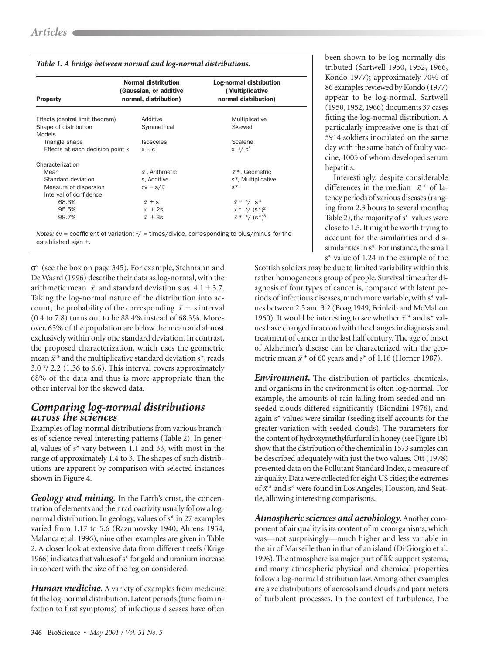| <b>Property</b>                  | <b>Normal distribution</b><br>(Gaussian, or additive<br>normal, distribution) | Log-normal distribution<br>(Multiplicative<br>normal distribution) |
|----------------------------------|-------------------------------------------------------------------------------|--------------------------------------------------------------------|
| Effects (central limit theorem)  | Additive                                                                      | Multiplicative                                                     |
| Shape of distribution<br>Models  | Symmetrical                                                                   | Skewed                                                             |
| Triangle shape                   | <b>Isosceles</b>                                                              | Scalene                                                            |
| Effects at each decision point x | $x \pm c$                                                                     | $x \times / c'$                                                    |
| Characterization                 |                                                                               |                                                                    |
| Mean                             | $\bar{x}$ , Arithmetic                                                        | $\bar{x}$ <sup>*</sup> , Geometric                                 |
| Standard deviation               | s, Additive                                                                   | s*, Multiplicative                                                 |
| Measure of dispersion            | $cv = s/\bar{x}$                                                              | $s^*$                                                              |
| Interval of confidence           |                                                                               |                                                                    |
| 68.3%                            | $\bar{x} \pm s$                                                               | $\bar{x}$ * $\bar{x}$ / s <sup>*</sup>                             |
| 95.5%                            | $\bar{x} \pm 2s$                                                              | $\bar{x}$ * $\frac{x}{3}$ (s*) <sup>2</sup>                        |
| 99.7%                            | $\bar{x} \pm 3s$                                                              | $\bar{x}$ * $\frac{x}{3}$ (s*) <sup>3</sup>                        |

σ\* (see the box on page 345). For example, Stehmann and De Waard (1996) describe their data as log-normal, with the arithmetic mean  $\bar{x}$  and standard deviation s as  $4.1 \pm 3.7$ . Taking the log-normal nature of the distribution into account, the probability of the corresponding  $\bar{x} \pm s$  interval (0.4 to 7.8) turns out to be 88.4% instead of 68.3%. Moreover, 65% of the population are below the mean and almost exclusively within only one standard deviation. In contrast, the proposed characterization, which uses the geometric mean  $\bar{x}^*$  and the multiplicative standard deviation s<sup>\*</sup>, reads 3.0 x / 2.2 (1.36 to 6.6). This interval covers approximately 68% of the data and thus is more appropriate than the other interval for the skewed data.

## *Comparing log-normal distributions across the sciences*

Examples of log-normal distributions from various branches of science reveal interesting patterns (Table 2). In general, values of s\* vary between 1.1 and 33, with most in the range of approximately 1.4 to 3. The shapes of such distributions are apparent by comparison with selected instances shown in Figure 4.

*Geology and mining.* In the Earth's crust, the concentration of elements and their radioactivity usually follow a lognormal distribution. In geology, values of s\* in 27 examples varied from 1.17 to 5.6 (Razumovsky 1940, Ahrens 1954, Malanca et al. 1996); nine other examples are given in Table 2. A closer look at extensive data from different reefs (Krige 1966) indicates that values of  $s^*$  for gold and uranium increase in concert with the size of the region considered.

*Human medicine.* A variety of examples from medicine fit the log-normal distribution. Latent periods (time from infection to first symptoms) of infectious diseases have often been shown to be log-normally distributed (Sartwell 1950, 1952, 1966, Kondo 1977); approximately 70% of 86 examples reviewed by Kondo (1977) appear to be log-normal. Sartwell (1950, 1952, 1966) documents 37 cases fitting the log-normal distribution. A particularly impressive one is that of 5914 soldiers inoculated on the same day with the same batch of faulty vaccine, 1005 of whom developed serum hepatitis.

Interestingly, despite considerable differences in the median  $\bar{x}$ <sup>\*</sup> of latency periods of various diseases (ranging from 2.3 hours to several months; Table 2), the majority of  $s^*$  values were close to 1.5. It might be worth trying to account for the similarities and dissimilarities in s\*. For instance, the small s\* value of 1.24 in the example of the

Scottish soldiers may be due to limited variability within this rather homogeneous group of people. Survival time after diagnosis of four types of cancer is, compared with latent periods of infectious diseases, much more variable, with s\* values between 2.5 and 3.2 (Boag 1949, Feinleib and McMahon 1960). It would be interesting to see whether  $\bar{x}^*$  and  $s^*$  values have changed in accord with the changes in diagnosis and treatment of cancer in the last half century. The age of onset of Alzheimer's disease can be characterized with the geometric mean  $\bar{x}^*$  of 60 years and s<sup>\*</sup> of 1.16 (Horner 1987).

*Environment.* The distribution of particles, chemicals, and organisms in the environment is often log-normal. For example, the amounts of rain falling from seeded and unseeded clouds differed significantly (Biondini 1976), and again s\* values were similar (seeding itself accounts for the greater variation with seeded clouds). The parameters for the content of hydroxymethylfurfurol in honey (see Figure 1b) show that the distribution of the chemical in 1573 samples can be described adequately with just the two values. Ott (1978) presented data on the Pollutant Standard Index, a measure of air quality. Data were collected for eight US cities; the extremes of *¯x* \* and s\* were found in Los Angeles, Houston, and Seattle, allowing interesting comparisons.

*Atmospheric sciences and aerobiology.*Another component of air quality is its content of microorganisms, which was—not surprisingly—much higher and less variable in the air of Marseille than in that of an island (Di Giorgio et al. 1996). The atmosphere is a major part of life support systems, and many atmospheric physical and chemical properties follow a log-normal distribution law. Among other examples are size distributions of aerosols and clouds and parameters of turbulent processes. In the context of turbulence, the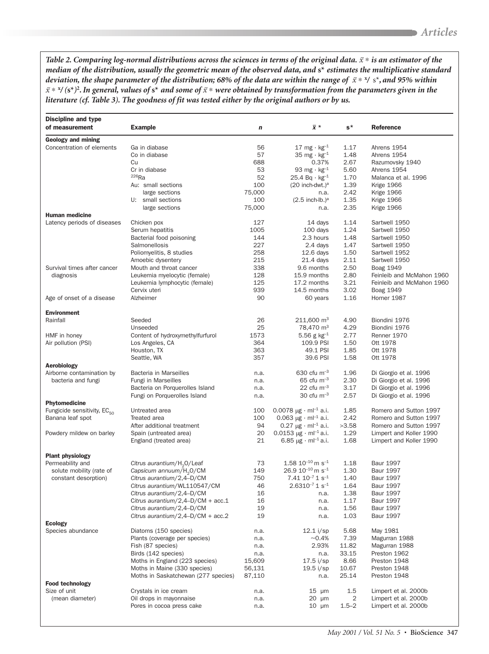*Table 2. Comparing log-normal distributions across the sciences in terms of the original data. ¯x* <sup>∗</sup> *is an estimator of the median of the distribution, usually the geometric mean of the observed data, and* **s\*** *estimates the multiplicative standard deviation, the shape parameter of the distribution; 68% of the data are within the range of ¯x* <sup>∗</sup>**<sup>x</sup>** */* s\**, and 95% within ¯x* <sup>∗</sup>**<sup>x</sup>** */ (***s\****)***<sup>2</sup> .***In general, values of* **s\*** *and some of ¯x* <sup>∗</sup> *were obtained by transformation from the parameters given in the literature (cf. Table 3). The goodness of fit was tested either by the original authors or by us.*

| <b>Discipline and type</b>              |                                                                  |              |                                                                    |                      |                                                        |
|-----------------------------------------|------------------------------------------------------------------|--------------|--------------------------------------------------------------------|----------------------|--------------------------------------------------------|
| of measurement                          | <b>Example</b>                                                   | n            | $\bar{x}$ *                                                        | $\mathbf{s}^{\star}$ | <b>Reference</b>                                       |
|                                         |                                                                  |              |                                                                    |                      |                                                        |
| <b>Geology and mining</b>               |                                                                  |              |                                                                    |                      |                                                        |
| Concentration of elements               | Ga in diabase                                                    | 56           | $17 \text{ mg} \cdot \text{kg}^{-1}$                               | 1.17                 | Ahrens 1954                                            |
|                                         | Co in diabase                                                    | 57           | 35 mg $\cdot$ kg <sup>-1</sup>                                     | 1.48                 | Ahrens 1954                                            |
|                                         | Cu                                                               | 688          | 0.37%                                                              | 2.67                 | Razumovsky 1940                                        |
|                                         | Cr in diabase<br>$226$ Ra                                        | 53<br>52     | 93 mg $\cdot$ kg <sup>-1</sup><br>25.4 Bq $\cdot$ kg <sup>-1</sup> | 5.60<br>1.70         | Ahrens 1954<br>Malanca et al. 1996                     |
|                                         | Au: small sections                                               | 100          | $(20$ inch-dwt.) <sup>a</sup>                                      | 1.39                 | <b>Krige 1966</b>                                      |
|                                         | large sections                                                   | 75,000       | n.a.                                                               | 2.42                 | <b>Krige 1966</b>                                      |
|                                         | U: small sections                                                | 100          | $(2.5$ inch-lb.) <sup>a</sup>                                      | 1.35                 | <b>Krige 1966</b>                                      |
|                                         | large sections                                                   | 75,000       | n.a.                                                               | 2.35                 | <b>Krige 1966</b>                                      |
| <b>Human medicine</b>                   |                                                                  |              |                                                                    |                      |                                                        |
| Latency periods of diseases             | Chicken pox                                                      | 127          | 14 days                                                            | 1.14                 | Sartwell 1950                                          |
|                                         | Serum hepatitis                                                  | 1005         | 100 days                                                           | 1.24                 | Sartwell 1950                                          |
|                                         | Bacterial food poisoning                                         | 144          | 2.3 hours                                                          | 1.48                 | Sartwell 1950                                          |
|                                         | Salmonellosis                                                    | 227          | 2.4 days                                                           | 1.47                 | Sartwell 1950                                          |
|                                         | Poliomyelitis, 8 studies                                         | 258          | $12.6$ days                                                        | 1.50                 | Sartwell 1952                                          |
|                                         | Amoebic dysentery                                                | 215          | 21.4 days                                                          | 2.11                 | Sartwell 1950                                          |
| Survival times after cancer             | Mouth and throat cancer                                          | 338          | 9.6 months                                                         | 2.50                 | Boag 1949                                              |
| diagnosis                               | Leukemia myelocytic (female)                                     | 128          | 15.9 months                                                        | 2.80                 | Feinleib and McMahon 1960<br>Feinleib and McMahon 1960 |
|                                         | Leukemia lymphocytic (female)<br>Cervix uteri                    | 125<br>939   | 17.2 months<br>14.5 months                                         | 3.21<br>3.02         |                                                        |
| Age of onset of a disease               | Alzheimer                                                        | 90           | 60 years                                                           | 1.16                 | Boag 1949<br>Horner 1987                               |
|                                         |                                                                  |              |                                                                    |                      |                                                        |
| <b>Environment</b>                      |                                                                  |              |                                                                    |                      |                                                        |
| Rainfall                                | Seeded                                                           | 26           | $211,600 \text{ m}^3$                                              | 4.90                 | Biondini 1976                                          |
|                                         | Unseeded                                                         | 25           | $78,470 \text{ m}^3$                                               | 4.29                 | Biondini 1976                                          |
| HMF in honey                            | Content of hydroxymethylfurfurol                                 | 1573         | 5.56 g $kg^{-1}$                                                   | 2.77                 | Renner 1970                                            |
| Air pollution (PSI)                     | Los Angeles, CA                                                  | 364          | 109.9 PSI                                                          | 1.50                 | Ott 1978                                               |
|                                         | Houston, TX                                                      | 363          | 49.1 PSI                                                           | 1.85                 | Ott 1978                                               |
|                                         | Seattle, WA                                                      | 357          | 39.6 PSI                                                           | 1.58                 | Ott 1978                                               |
| Aerobiology                             |                                                                  |              |                                                                    |                      |                                                        |
| Airborne contamination by               | Bacteria in Marseilles                                           | n.a.         | 630 cfu m <sup>-3</sup>                                            | 1.96                 | Di Giorgio et al. 1996                                 |
| bacteria and fungi                      | Fungi in Marseilles                                              | n.a.         | 65 cfu $\mathrm{m}^{-3}$                                           | 2.30                 | Di Giorgio et al. 1996                                 |
|                                         | Bacteria on Porquerolles Island                                  | n.a.         | 22 cfu $\mathrm{m}^{-3}$<br>$30 \text{ c}$ fu m <sup>-3</sup>      | 3.17<br>2.57         | Di Giorgio et al. 1996                                 |
| Phytomedicine                           | Fungi on Porquerolles Island                                     | n.a.         |                                                                    |                      | Di Giorgio et al. 1996                                 |
| Fungicide sensitivity, EC <sub>50</sub> | Untreated area                                                   | 100          | $0.0078 \,\mu g \cdot m l^{-1} a.i.$                               | 1.85                 | Romero and Sutton 1997                                 |
| Banana leaf spot                        | Treated area                                                     | 100          | $0.063 \,\mu g \cdot m l^{-1}$ a.i.                                | 2.42                 | Romero and Sutton 1997                                 |
|                                         | After additional treatment                                       | 94           | $0.27 \mu g \cdot ml^{-1} a.i.$                                    | >3.58                | Romero and Sutton 1997                                 |
| Powdery mildew on barley                | Spain (untreated area)                                           | 20           | $0.0153 \mu g \cdot ml^{-1} a.i.$                                  | 1.29                 | Limpert and Koller 1990                                |
|                                         | England (treated area)                                           | 21           | 6.85 $\mu$ g · ml <sup>-1</sup> a.i.                               | 1.68                 | Limpert and Koller 1990                                |
|                                         |                                                                  |              |                                                                    |                      |                                                        |
| <b>Plant physiology</b>                 |                                                                  |              |                                                                    |                      |                                                        |
| Permeability and                        | Citrus aurantium/H <sub>2</sub> O/Leaf                           | 73           | $1.58 10^{-10}$ m s <sup>-1</sup>                                  | 1.18                 | <b>Baur 1997</b>                                       |
| solute mobility (rate of                | Capsicum annuum/H <sub>2</sub> O/CM                              | 149          | $26.9 10^{-10}$ m s <sup>-1</sup>                                  | 1.30                 | <b>Baur 1997</b>                                       |
| constant desorption)                    | Citrus aurantium/2,4-D/CM                                        | 750          | $7.41 10^{-7} 1 s^{-1}$                                            | 1.40                 | <b>Baur 1997</b>                                       |
|                                         | Citrus aurantium/WL110547/CM                                     | 46<br>16     | $2.6310^{-7}$ 1 s <sup>-1</sup>                                    | 1.64                 | <b>Baur 1997</b><br>Baur 1997                          |
|                                         | Citrus aurantium/2,4-D/CM<br>Citrus aurantium/2,4-D/CM + $acc.1$ | 16           | n.a.<br>n.a.                                                       | 1.38<br>1.17         | <b>Baur 1997</b>                                       |
|                                         | Citrus aurantium/2,4-D/CM                                        | 19           | n.a.                                                               | 1.56                 | <b>Baur 1997</b>                                       |
|                                         | Citrus aurantium/2,4-D/CM + $acc.2$                              | 19           | n.a.                                                               | 1.03                 | <b>Baur 1997</b>                                       |
| <b>Ecology</b>                          |                                                                  |              |                                                                    |                      |                                                        |
| Species abundance                       | Diatoms (150 species)                                            | n.a.         | $12.1$ i/sp                                                        | 5.68                 | May 1981                                               |
|                                         | Plants (coverage per species)                                    | n.a.         | $-0.4%$                                                            | 7.39                 | Magurran 1988                                          |
|                                         | Fish (87 species)                                                | n.a.         | 2.93%                                                              | 11.82                | Magurran 1988                                          |
|                                         | Birds (142 species)                                              | n.a.         | n.a.                                                               | 33.15                | Preston 1962                                           |
|                                         | Moths in England (223 species)                                   | 15,609       | $17.5$ i/sp                                                        | 8.66                 | Preston 1948                                           |
|                                         | Moths in Maine (330 species)                                     | 56,131       | $19.5$ i/sp                                                        | 10.67                | Preston 1948                                           |
|                                         | Moths in Saskatchewan (277 species)                              | 87,110       | n.a.                                                               | 25.14                | Preston 1948                                           |
| <b>Food technology</b><br>Size of unit  |                                                                  |              |                                                                    |                      | Limpert et al. 2000b                                   |
| (mean diameter)                         | Crystals in ice cream<br>Oil drops in mayonnaise                 | n.a.<br>n.a. | $15 \mu m$<br>$20 \mu m$                                           | 1.5<br>2             | Limpert et al. 2000b                                   |
|                                         | Pores in cocoa press cake                                        | n.a.         | $10 \mu m$                                                         | $1.5 - 2$            | Limpert et al. 2000b                                   |
|                                         |                                                                  |              |                                                                    |                      |                                                        |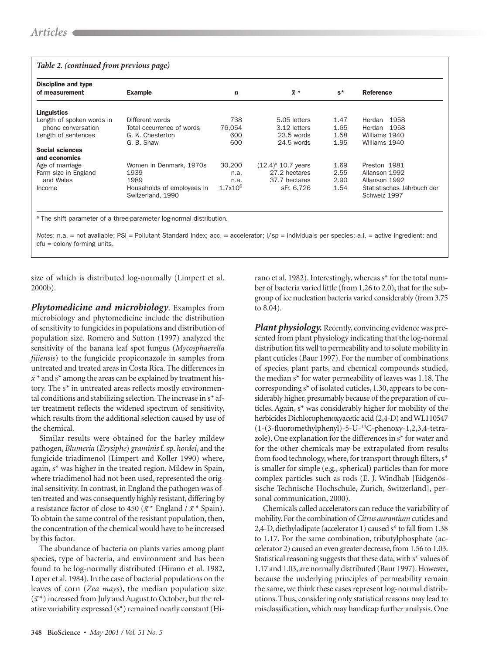| <b>Discipline and type</b><br>of measurement | <b>Example</b>             | n            | $\bar{x}$ *           | $\mathbf{s}^{\star}$ | Reference                  |
|----------------------------------------------|----------------------------|--------------|-----------------------|----------------------|----------------------------|
| <b>Linguistics</b>                           |                            |              |                       |                      |                            |
| Length of spoken words in                    | Different words            | 738          | 5.05 letters          | 1.47                 | 1958<br>Herdan             |
| phone conversation                           | Total occurrence of words  | 76.054       | 3.12 letters          | 1.65                 | Herdan 1958                |
| Length of sentences                          | G. K. Chesterton           | 600          | 23.5 words            | 1.58                 | Williams 1940              |
|                                              | G. B. Shaw                 | 600          | 24.5 words            | 1.95                 | Williams 1940              |
| <b>Social sciences</b>                       |                            |              |                       |                      |                            |
| and economics                                |                            |              |                       |                      |                            |
| Age of marriage                              | Women in Denmark, 1970s    | 30,200       | $(12.4)^a$ 10.7 years | 1.69                 | Preston 1981               |
| Farm size in England                         | 1939                       | n.a.         | 27.2 hectares         | 2.55                 | Allanson 1992              |
| and Wales                                    | 1989                       | n.a.         | 37.7 hectares         | 2.90                 | Allanson 1992              |
| Income                                       | Households of employees in | $1.7x10^{6}$ | sFr. 6,726            | 1.54                 | Statistisches Jahrbuch der |
|                                              | Switzerland, 1990          |              |                       |                      | Schweiz 1997               |

*Notes*: n.a. = not available; PSI = Pollutant Standard Index; acc. = accelerator; i/sp = individuals per species; a.i. = active ingredient; and cfu = colony forming units.

size of which is distributed log-normally (Limpert et al. 2000b).

*Phytomedicine and microbiology***.** Examples from microbiology and phytomedicine include the distribution of sensitivity to fungicides in populations and distribution of population size. Romero and Sutton (1997) analyzed the sensitivity of the banana leaf spot fungus (*Mycosphaerella fijiensis*) to the fungicide propiconazole in samples from untreated and treated areas in Costa Rica. The differences in  $\bar{x}^*$  and s<sup>\*</sup> among the areas can be explained by treatment history. The s\* in untreated areas reflects mostly environmental conditions and stabilizing selection. The increase in s\* after treatment reflects the widened spectrum of sensitivity, which results from the additional selection caused by use of the chemical.

Similar results were obtained for the barley mildew pathogen, *Blumeria* (*Erysiphe*) *graminis* f. sp. *hordei*, and the fungicide triadimenol (Limpert and Koller 1990) where, again, s\* was higher in the treated region. Mildew in Spain, where triadimenol had not been used, represented the original sensitivity. In contrast, in England the pathogen was often treated and was consequently highly resistant, differing by a resistance factor of close to 450 ( $\bar{x}$ <sup>\*</sup> England /  $\bar{x}$ <sup>\*</sup> Spain). To obtain the same control of the resistant population, then, the concentration of the chemical would have to be increased by this factor.

The abundance of bacteria on plants varies among plant species, type of bacteria, and environment and has been found to be log-normally distributed (Hirano et al. 1982, Loper et al. 1984). In the case of bacterial populations on the leaves of corn (*Zea mays*), the median population size  $(\bar{x}^*)$  increased from July and August to October, but the relative variability expressed (s\*) remained nearly constant (Hirano et al. 1982). Interestingly, whereas s\* for the total number of bacteria varied little (from 1.26 to 2.0), that for the subgroup of ice nucleation bacteria varied considerably (from 3.75 to 8.04).

*Plant physiology.* Recently, convincing evidence was presented from plant physiology indicating that the log-normal distribution fits well to permeability and to solute mobility in plant cuticles (Baur 1997). For the number of combinations of species, plant parts, and chemical compounds studied, the median s\* for water permeability of leaves was 1.18. The corresponding s\* of isolated cuticles, 1.30, appears to be considerably higher, presumably because of the preparation of cuticles. Again, s\* was considerably higher for mobility of the herbicides Dichlorophenoxyacetic acid (2,4-D) and WL110547 (1-(3-fluoromethylphenyl)-5-U-14C-phenoxy-1,2,3,4-tetrazole). One explanation for the differences in s\* for water and for the other chemicals may be extrapolated from results from food technology, where, for transport through filters, s\* is smaller for simple (e.g., spherical) particles than for more complex particles such as rods (E. J. Windhab [Eidgenössische Technische Hochschule, Zurich, Switzerland], personal communication, 2000).

Chemicals called accelerators can reduce the variability of mobility. For the combination of *Citrus aurantium* cuticles and 2,4-D, diethyladipate (accelerator 1) caused s\* to fall from 1.38 to 1.17. For the same combination, tributylphosphate (accelerator 2) caused an even greater decrease, from 1.56 to 1.03. Statistical reasoning suggests that these data, with s\* values of 1.17 and 1.03, are normally distributed (Baur 1997). However, because the underlying principles of permeability remain the same, we think these cases represent log-normal distributions. Thus, considering only statistical reasons may lead to misclassification, which may handicap further analysis. One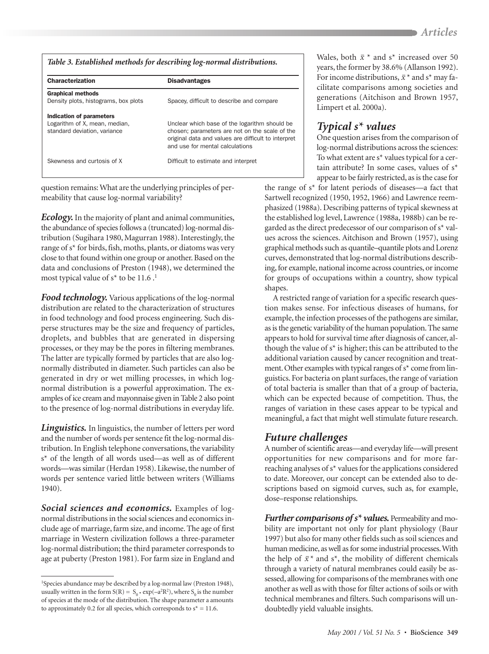|  | Table 3. Established methods for describing log-normal distributions. |  |  |  |  |
|--|-----------------------------------------------------------------------|--|--|--|--|
|--|-----------------------------------------------------------------------|--|--|--|--|

| <b>Characterization</b>                                                                   | <b>Disadvantages</b>                                                                                                                                                                       |
|-------------------------------------------------------------------------------------------|--------------------------------------------------------------------------------------------------------------------------------------------------------------------------------------------|
| <b>Graphical methods</b><br>Density plots, histograms, box plots                          | Spacey, difficult to describe and compare                                                                                                                                                  |
| Indication of parameters<br>Logarithm of X, mean, median,<br>standard deviation, variance | Unclear which base of the logarithm should be.<br>chosen; parameters are not on the scale of the<br>original data and values are difficult to interpret<br>and use for mental calculations |
| Skewness and curtosis of X                                                                | Difficult to estimate and interpret                                                                                                                                                        |

question remains: What are the underlying principles of permeability that cause log-normal variability?

*Ecology.* In the majority of plant and animal communities, the abundance of species follows a (truncated) log-normal distribution (Sugihara 1980, Magurran 1988). Interestingly, the range of s\* for birds, fish, moths, plants, or diatoms was very close to that found within one group or another. Based on the data and conclusions of Preston (1948), we determined the most typical value of  $s^*$  to be 11.6 .<sup>1</sup>

*Food technology.* Various applications of the log-normal distribution are related to the characterization of structures in food technology and food process engineering. Such disperse structures may be the size and frequency of particles, droplets, and bubbles that are generated in dispersing processes, or they may be the pores in filtering membranes. The latter are typically formed by particles that are also lognormally distributed in diameter. Such particles can also be generated in dry or wet milling processes, in which lognormal distribution is a powerful approximation. The examples of ice cream and mayonnaise given in Table 2 also point to the presence of log-normal distributions in everyday life.

**Linguistics.** In linguistics, the number of letters per word and the number of words per sentence fit the log-normal distribution. In English telephone conversations, the variability s\* of the length of all words used—as well as of different words—was similar (Herdan 1958). Likewise, the number of words per sentence varied little between writers (Williams 1940).

*Social sciences and economics.* Examples of lognormal distributions in the social sciences and economics include age of marriage, farm size, and income. The age of first marriage in Western civilization follows a three-parameter log-normal distribution; the third parameter corresponds to age at puberty (Preston 1981). For farm size in England and

Wales, both  $\bar{x}$  \* and s<sup>\*</sup> increased over 50 years, the former by 38.6% (Allanson 1992). For income distributions,  $\bar{x}^*$  and  $s^*$  may facilitate comparisons among societies and generations (Aitchison and Brown 1957, Limpert et al. 2000a).

## *Typical s\* values*

One question arises from the comparison of log-normal distributions across the sciences: To what extent are s\* values typical for a certain attribute? In some cases, values of s\* appear to be fairly restricted, as is the case for

the range of s\* for latent periods of diseases—a fact that Sartwell recognized (1950, 1952, 1966) and Lawrence reemphasized (1988a). Describing patterns of typical skewness at the established log level, Lawrence (1988a, 1988b) can be regarded as the direct predecessor of our comparison of s\* values across the sciences. Aitchison and Brown (1957), using graphical methods such as quantile–quantile plots and Lorenz curves, demonstrated that log-normal distributions describing, for example, national income across countries, or income for groups of occupations within a country, show typical shapes.

A restricted range of variation for a specific research question makes sense. For infectious diseases of humans, for example, the infection processes of the pathogens are similar, as is the genetic variability of the human population. The same appears to hold for survival time after diagnosis of cancer, although the value of  $s^*$  is higher; this can be attributed to the additional variation caused by cancer recognition and treatment. Other examples with typical ranges of s\* come from linguistics. For bacteria on plant surfaces, the range of variation of total bacteria is smaller than that of a group of bacteria, which can be expected because of competition. Thus, the ranges of variation in these cases appear to be typical and meaningful, a fact that might well stimulate future research.

## *Future challenges*

A number of scientific areas—and everyday life—will present opportunities for new comparisons and for more farreaching analyses of s\* values for the applications considered to date. Moreover, our concept can be extended also to descriptions based on sigmoid curves, such as, for example, dose–response relationships.

*Further comparisons of s<sup>\*</sup> values.* Permeability and mobility are important not only for plant physiology (Baur 1997) but also for many other fields such as soil sciences and human medicine, as well as for some industrial processes.With the help of  $\bar{x}^*$  and  $s^*$ , the mobility of different chemicals through a variety of natural membranes could easily be assessed, allowing for comparisons of the membranes with one another as well as with those for filter actions of soils or with technical membranes and filters. Such comparisons will undoubtedly yield valuable insights.

<sup>&</sup>lt;sup>1</sup>Species abundance may be described by a log-normal law (Preston 1948), usually written in the form  $S(R) = S_0 \cdot \exp(-a^2 R^2)$ , where  $S_0$  is the number of species at the mode of the distribution. The shape parameter a amounts to approximately 0.2 for all species, which corresponds to  $s^* = 11.6$ .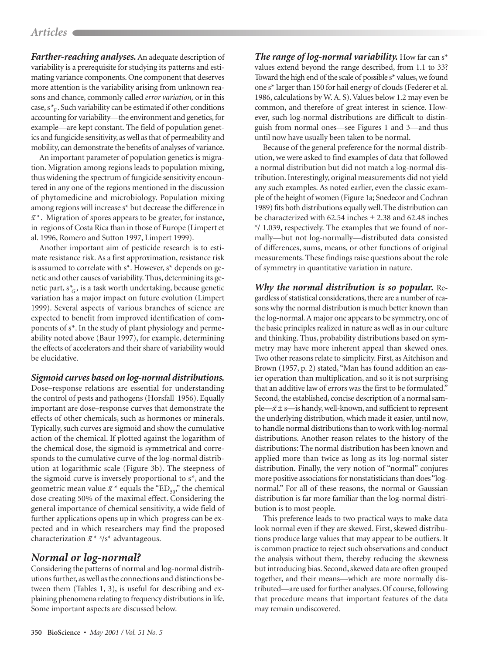*Farther-reaching analyses.*An adequate description of variability is a prerequisite for studying its patterns and estimating variance components. One component that deserves more attention is the variability arising from unknown reasons and chance, commonly called *error variation,* or in this case,  $s_{E}^{*}$ . Such variability can be estimated if other conditions accounting for variability—the environment and genetics, for example—are kept constant. The field of population genetics and fungicide sensitivity, as well as that of permeability and mobility, can demonstrate the benefits of analyses of variance.

An important parameter of population genetics is migration. Migration among regions leads to population mixing, thus widening the spectrum of fungicide sensitivity encountered in any one of the regions mentioned in the discussion of phytomedicine and microbiology. Population mixing among regions will increase s\* but decrease the difference in  $\bar{x}^*$ . Migration of spores appears to be greater, for instance, in regions of Costa Rica than in those of Europe (Limpert et al. 1996, Romero and Sutton 1997, Limpert 1999).

Another important aim of pesticide research is to estimate resistance risk. As a first approximation, resistance risk is assumed to correlate with  $s^*$ . However,  $s^*$  depends on genetic and other causes of variability. Thus, determining its genetic part,  $s^*_{G}$ , is a task worth undertaking, because genetic variation has a major impact on future evolution (Limpert 1999). Several aspects of various branches of science are expected to benefit from improved identification of components of s\*. In the study of plant physiology and permeability noted above (Baur 1997), for example, determining the effects of accelerators and their share of variability would be elucidative.

#### *Sigmoid curves based on log-normal distributions.*

Dose–response relations are essential for understanding the control of pests and pathogens (Horsfall 1956). Equally important are dose–response curves that demonstrate the effects of other chemicals, such as hormones or minerals. Typically, such curves are sigmoid and show the cumulative action of the chemical. If plotted against the logarithm of the chemical dose, the sigmoid is symmetrical and corresponds to the cumulative curve of the log-normal distribution at logarithmic scale (Figure 3b). The steepness of the sigmoid curve is inversely proportional to s\*, and the geometric mean value  $\bar{x}$ <sup>\*</sup> equals the "ED<sub>50</sub>" the chemical dose creating 50% of the maximal effect. Considering the general importance of chemical sensitivity, a wide field of further applications opens up in which progress can be expected and in which researchers may find the proposed -<br>characterization  $\bar{x}$ <sup>\*</sup> <sup>x</sup>/s<sup>\*</sup> advantageous.

## *Normal or log-normal?*

Considering the patterns of normal and log-normal distributions further, as well as the connections and distinctions between them (Tables 1, 3), is useful for describing and explaining phenomena relating to frequency distributions in life. Some important aspects are discussed below.

*The range of log-normal variability.* How far can s\* values extend beyond the range described, from 1.1 to 33? Toward the high end of the scale of possible s\* values, we found one s\* larger than 150 for hail energy of clouds (Federer et al. 1986, calculations by W. A. S). Values below 1.2 may even be common, and therefore of great interest in science. However, such log-normal distributions are difficult to distinguish from normal ones—see Figures 1 and 3—and thus until now have usually been taken to be normal.

Because of the general preference for the normal distribution, we were asked to find examples of data that followed a normal distribution but did not match a log-normal distribution. Interestingly, original measurements did not yield any such examples. As noted earlier, even the classic example of the height of women (Figure 1a; Snedecor and Cochran 1989) fits both distributions equally well. The distribution can be characterized with  $62.54$  inches  $\pm 2.38$  and  $62.48$  inches  $\times$ / 1.039, respectively. The examples that we found of normally—but not log-normally—distributed data consisted of differences, sums, means, or other functions of original measurements. These findings raise questions about the role of symmetry in quantitative variation in nature.

*Why the normal distribution is so popular.* Regardless of statistical considerations, there are a number of reasons why the normal distribution is much better known than the log-normal. A major one appears to be symmetry, one of the basic principles realized in nature as well as in our culture and thinking. Thus, probability distributions based on symmetry may have more inherent appeal than skewed ones. Two other reasons relate to simplicity. First, as Aitchison and Brown (1957, p. 2) stated, "Man has found addition an easier operation than multiplication, and so it is not surprising that an additive law of errors was the first to be formulated." Second, the established, concise description of a normal sample—*¯x* ± s—is handy, well-known, and sufficient to represent the underlying distribution, which made it easier, until now, to handle normal distributions than to work with log-normal distributions. Another reason relates to the history of the distributions: The normal distribution has been known and applied more than twice as long as its log-normal sister distribution. Finally, the very notion of "normal" conjures more positive associations for nonstatisticians than does "lognormal." For all of these reasons, the normal or Gaussian distribution is far more familiar than the log-normal distribution is to most people.

This preference leads to two practical ways to make data look normal even if they are skewed. First, skewed distributions produce large values that may appear to be outliers. It is common practice to reject such observations and conduct the analysis without them, thereby reducing the skewness but introducing bias. Second, skewed data are often grouped together, and their means—which are more normally distributed—are used for further analyses. Of course, following that procedure means that important features of the data may remain undiscovered.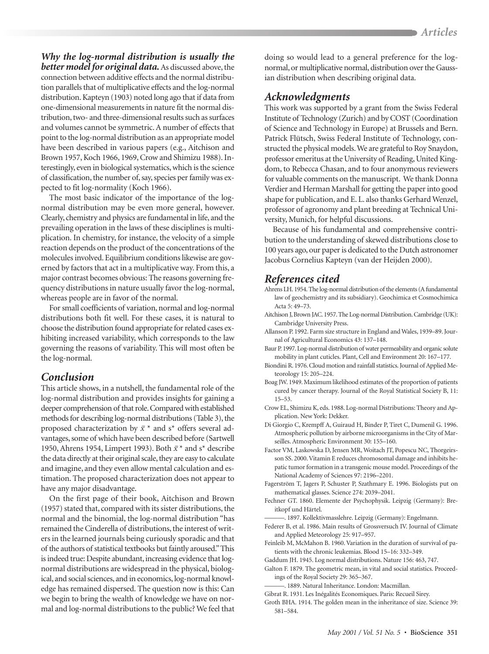#### *Why the log-normal distribution is usually the better model for original data.* As discussed above, the

connection between additive effects and the normal distribution parallels that of multiplicative effects and the log-normal distribution. Kapteyn (1903) noted long ago that if data from one-dimensional measurements in nature fit the normal distribution, two- and three-dimensional results such as surfaces and volumes cannot be symmetric. A number of effects that point to the log-normal distribution as an appropriate model have been described in various papers (e.g., Aitchison and Brown 1957, Koch 1966, 1969, Crow and Shimizu 1988). Interestingly, even in biological systematics, which is the science of classification, the number of, say, species per family was expected to fit log-normality (Koch 1966).

The most basic indicator of the importance of the lognormal distribution may be even more general, however. Clearly, chemistry and physics are fundamental in life, and the prevailing operation in the laws of these disciplines is multiplication. In chemistry, for instance, the velocity of a simple reaction depends on the product of the concentrations of the molecules involved. Equilibrium conditions likewise are governed by factors that act in a multiplicative way. From this, a major contrast becomes obvious: The reasons governing frequency distributions in nature usually favor the log-normal, whereas people are in favor of the normal.

For small coefficients of variation, normal and log-normal distributions both fit well. For these cases, it is natural to choose the distribution found appropriate for related cases exhibiting increased variability, which corresponds to the law governing the reasons of variability. This will most often be the log-normal.

## *Conclusion*

This article shows, in a nutshell, the fundamental role of the log-normal distribution and provides insights for gaining a deeper comprehension of that role. Compared with established methods for describing log-normal distributions (Table 3), the proposed characterization by  $\bar{x}$ <sup>\*</sup> and s<sup>\*</sup> offers several advantages, some of which have been described before (Sartwell 1950, Ahrens 1954, Limpert 1993). Both  $\bar{x}^*$  and  $s^*$  describe the data directly at their original scale, they are easy to calculate and imagine, and they even allow mental calculation and estimation. The proposed characterization does not appear to have any major disadvantage.

On the first page of their book, Aitchison and Brown (1957) stated that, compared with its sister distributions, the normal and the binomial, the log-normal distribution "has remained the Cinderella of distributions, the interest of writers in the learned journals being curiously sporadic and that of the authors of statistical textbooks but faintly aroused."This is indeed true: Despite abundant, increasing evidence that lognormal distributions are widespread in the physical, biological, and social sciences, and in economics, log-normal knowledge has remained dispersed. The question now is this: Can we begin to bring the wealth of knowledge we have on normal and log-normal distributions to the public? We feel that doing so would lead to a general preference for the lognormal, or multiplicative normal, distribution over the Gaussian distribution when describing original data.

## *Acknowledgments*

This work was supported by a grant from the Swiss Federal Institute of Technology (Zurich) and by COST (Coordination of Science and Technology in Europe) at Brussels and Bern. Patrick Flütsch, Swiss Federal Institute of Technology, constructed the physical models. We are grateful to Roy Snaydon, professor emeritus at the University of Reading, United Kingdom, to Rebecca Chasan, and to four anonymous reviewers for valuable comments on the manuscript. We thank Donna Verdier and Herman Marshall for getting the paper into good shape for publication, and E. L. also thanks Gerhard Wenzel, professor of agronomy and plant breeding at Technical University, Munich, for helpful discussions.

Because of his fundamental and comprehensive contribution to the understanding of skewed distributions close to 100 years ago, our paper is dedicated to the Dutch astronomer Jacobus Cornelius Kapteyn (van der Heijden 2000).

# *References cited*

- Ahrens LH. 1954. The log-normal distribution of the elements (A fundamental law of geochemistry and its subsidiary). Geochimica et Cosmochimica Acta 5: 49–73.
- Aitchison J, Brown JAC. 1957. The Log-normal Distribution. Cambridge (UK): Cambridge University Press.
- Allanson P. 1992. Farm size structure in England and Wales, 1939–89. Journal of Agricultural Economics 43: 137–148.
- Baur P. 1997. Log-normal distribution of water permeability and organic solute mobility in plant cuticles. Plant, Cell and Environment 20: 167–177.
- Biondini R. 1976. Cloud motion and rainfall statistics. Journal of Applied Meteorology 15: 205–224.
- Boag JW. 1949. Maximum likelihood estimates of the proportion of patients cured by cancer therapy. Journal of the Royal Statistical Society B, 11: 15–53.
- Crow EL, Shimizu K, eds. 1988. Log-normal Distributions: Theory and Application. New York: Dekker.
- Di Giorgio C, Krempff A, Guiraud H, Binder P, Tiret C, Dumenil G. 1996. Atmospheric pollution by airborne microorganisms in the City of Marseilles. Atmospheric Environment 30: 155–160.
- Factor VM, Laskowska D, Jensen MR, Woitach JT, Popescu NC, Thorgeirsson SS. 2000. Vitamin E reduces chromosomal damage and inhibits hepatic tumor formation in a transgenic mouse model. Proceedings of the National Academy of Sciences 97: 2196–2201.
- Fagerström T, Jagers P, Schuster P, Szathmary E. 1996. Biologists put on mathematical glasses. Science 274: 2039–2041.
- Fechner GT. 1860. Elemente der Psychophysik. Leipzig (Germany): Breitkopf und Härtel.

-. 1897. Kollektivmasslehre. Leipzig (Germany): Engelmann.

- Federer B, et al. 1986. Main results of Grossversuch IV. Journal of Climate and Applied Meteorology 25: 917–957.
- Feinleib M, McMahon B. 1960. Variation in the duration of survival of patients with the chronic leukemias. Blood 15–16: 332–349.
- Gaddum JH. 1945. Log normal distributions. Nature 156: 463, 747.
- Galton F. 1879. The geometric mean, in vital and social statistics. Proceedings of the Royal Society 29: 365–367.
- -. 1889. Natural Inheritance. London: Macmillan.

Groth BHA. 1914. The golden mean in the inheritance of size. Science 39: 581–584.

Gibrat R. 1931. Les Inégalités Economiques. Paris: Recueil Sirey.